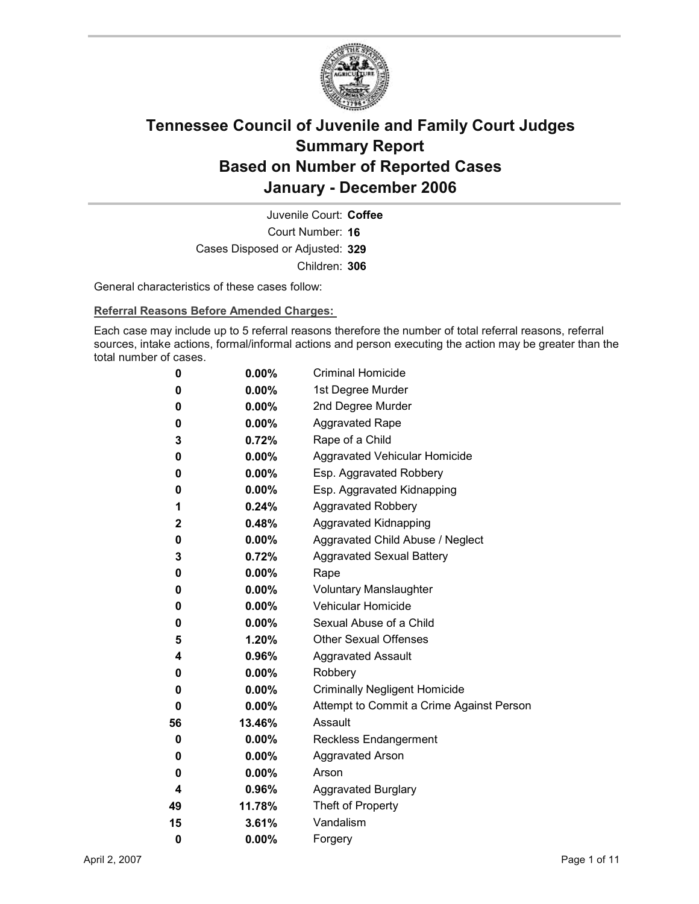

Court Number: **16** Juvenile Court: **Coffee** Cases Disposed or Adjusted: **329** Children: **306**

General characteristics of these cases follow:

**Referral Reasons Before Amended Charges:** 

Each case may include up to 5 referral reasons therefore the number of total referral reasons, referral sources, intake actions, formal/informal actions and person executing the action may be greater than the total number of cases.

| 0            | $0.00\%$ | <b>Criminal Homicide</b>                 |
|--------------|----------|------------------------------------------|
| 0            | $0.00\%$ | 1st Degree Murder                        |
| 0            | $0.00\%$ | 2nd Degree Murder                        |
| 0            | $0.00\%$ | <b>Aggravated Rape</b>                   |
| 3            | 0.72%    | Rape of a Child                          |
| 0            | $0.00\%$ | Aggravated Vehicular Homicide            |
| 0            | $0.00\%$ | Esp. Aggravated Robbery                  |
| 0            | $0.00\%$ | Esp. Aggravated Kidnapping               |
| 1            | 0.24%    | <b>Aggravated Robbery</b>                |
| $\mathbf{2}$ | 0.48%    | <b>Aggravated Kidnapping</b>             |
| 0            | $0.00\%$ | Aggravated Child Abuse / Neglect         |
| 3            | 0.72%    | <b>Aggravated Sexual Battery</b>         |
| 0            | $0.00\%$ | Rape                                     |
| 0            | $0.00\%$ | <b>Voluntary Manslaughter</b>            |
| 0            | $0.00\%$ | <b>Vehicular Homicide</b>                |
| 0            | $0.00\%$ | Sexual Abuse of a Child                  |
| 5            | $1.20\%$ | <b>Other Sexual Offenses</b>             |
| 4            | 0.96%    | <b>Aggravated Assault</b>                |
| 0            | $0.00\%$ | Robbery                                  |
| 0            | $0.00\%$ | <b>Criminally Negligent Homicide</b>     |
| 0            | $0.00\%$ | Attempt to Commit a Crime Against Person |
| 56           | 13.46%   | Assault                                  |
| 0            | $0.00\%$ | <b>Reckless Endangerment</b>             |
| 0            | $0.00\%$ | <b>Aggravated Arson</b>                  |
| 0            | $0.00\%$ | Arson                                    |
| 4            | $0.96\%$ | <b>Aggravated Burglary</b>               |
| 49           | 11.78%   | Theft of Property                        |
| 15           | 3.61%    | Vandalism                                |
| 0            | 0.00%    | Forgery                                  |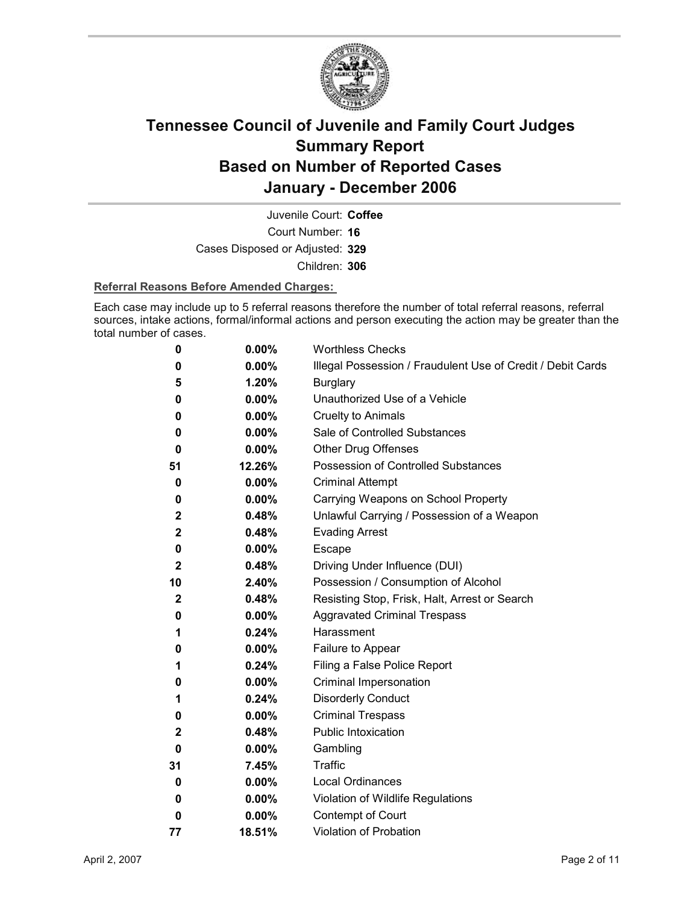

Court Number: **16** Juvenile Court: **Coffee** Cases Disposed or Adjusted: **329** Children: **306**

#### **Referral Reasons Before Amended Charges:**

Each case may include up to 5 referral reasons therefore the number of total referral reasons, referral sources, intake actions, formal/informal actions and person executing the action may be greater than the total number of cases.

| 0            | 0.00%    | <b>Worthless Checks</b>                                     |
|--------------|----------|-------------------------------------------------------------|
| 0            | 0.00%    | Illegal Possession / Fraudulent Use of Credit / Debit Cards |
| 5            | 1.20%    | <b>Burglary</b>                                             |
| 0            | $0.00\%$ | Unauthorized Use of a Vehicle                               |
| 0            | 0.00%    | <b>Cruelty to Animals</b>                                   |
| 0            | $0.00\%$ | Sale of Controlled Substances                               |
| 0            | $0.00\%$ | <b>Other Drug Offenses</b>                                  |
| 51           | 12.26%   | <b>Possession of Controlled Substances</b>                  |
| 0            | 0.00%    | <b>Criminal Attempt</b>                                     |
| 0            | 0.00%    | Carrying Weapons on School Property                         |
| $\mathbf{2}$ | 0.48%    | Unlawful Carrying / Possession of a Weapon                  |
| 2            | 0.48%    | <b>Evading Arrest</b>                                       |
| 0            | $0.00\%$ | Escape                                                      |
| $\mathbf{2}$ | 0.48%    | Driving Under Influence (DUI)                               |
| 10           | 2.40%    | Possession / Consumption of Alcohol                         |
| $\mathbf{2}$ | 0.48%    | Resisting Stop, Frisk, Halt, Arrest or Search               |
| 0            | $0.00\%$ | <b>Aggravated Criminal Trespass</b>                         |
| 1            | 0.24%    | Harassment                                                  |
| 0            | $0.00\%$ | Failure to Appear                                           |
| 1            | 0.24%    | Filing a False Police Report                                |
| 0            | 0.00%    | Criminal Impersonation                                      |
| 1            | 0.24%    | <b>Disorderly Conduct</b>                                   |
| 0            | 0.00%    | <b>Criminal Trespass</b>                                    |
| 2            | 0.48%    | <b>Public Intoxication</b>                                  |
| 0            | $0.00\%$ | Gambling                                                    |
| 31           | 7.45%    | Traffic                                                     |
| 0            | 0.00%    | <b>Local Ordinances</b>                                     |
| 0            | $0.00\%$ | Violation of Wildlife Regulations                           |
| 0            | 0.00%    | Contempt of Court                                           |
| 77           | 18.51%   | <b>Violation of Probation</b>                               |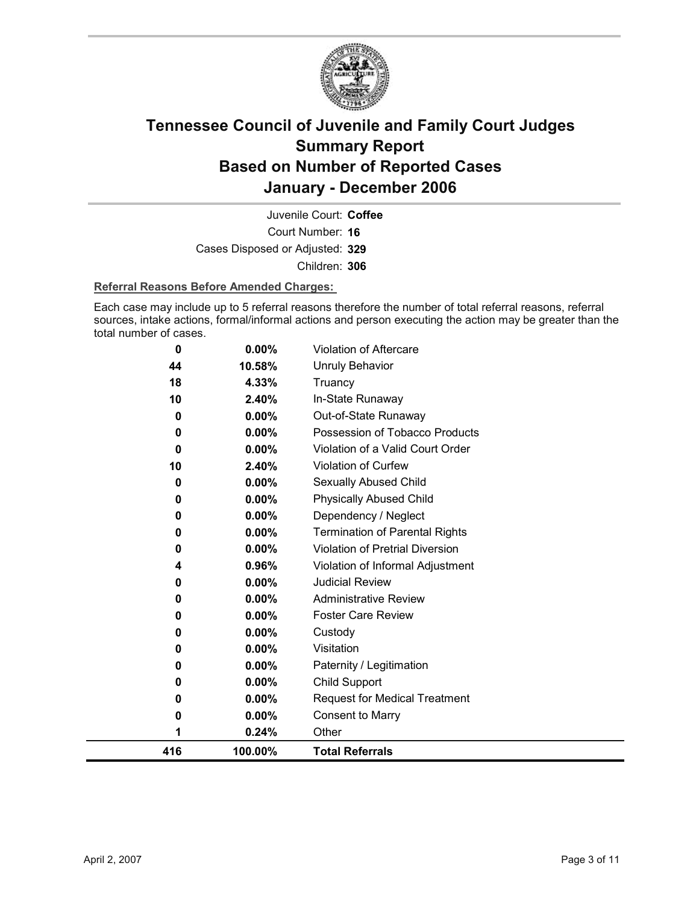

Court Number: **16** Juvenile Court: **Coffee** Cases Disposed or Adjusted: **329** Children: **306**

#### **Referral Reasons Before Amended Charges:**

Each case may include up to 5 referral reasons therefore the number of total referral reasons, referral sources, intake actions, formal/informal actions and person executing the action may be greater than the total number of cases.

| 416 |          | 100.00%        | <b>Total Referrals</b>                |
|-----|----------|----------------|---------------------------------------|
|     | 1        | 0.24%          | Other                                 |
|     | 0        | 0.00%          | <b>Consent to Marry</b>               |
|     | 0        | 0.00%          | <b>Request for Medical Treatment</b>  |
|     | 0        | 0.00%          | Child Support                         |
|     | 0        | 0.00%          | Paternity / Legitimation              |
|     | 0        | 0.00%          | Visitation                            |
|     | 0        | 0.00%          | Custody                               |
|     | 0        | $0.00\%$       | <b>Foster Care Review</b>             |
|     | 0        | 0.00%          | <b>Administrative Review</b>          |
|     | 0        | 0.00%          | <b>Judicial Review</b>                |
|     | 4        | 0.96%          | Violation of Informal Adjustment      |
|     | 0        | 0.00%          | Violation of Pretrial Diversion       |
|     | 0        | 0.00%          | <b>Termination of Parental Rights</b> |
|     | 0        | $0.00\%$       | Dependency / Neglect                  |
|     | $\bf{0}$ | $0.00\%$       | <b>Physically Abused Child</b>        |
|     | 0        | 0.00%          | Sexually Abused Child                 |
|     | 10       | 2.40%          | <b>Violation of Curfew</b>            |
|     | $\bf{0}$ | $0.00\%$       | Violation of a Valid Court Order      |
|     | $\bf{0}$ | $0.00\%$       | Possession of Tobacco Products        |
|     | 0        | $0.00\%$       | Out-of-State Runaway                  |
|     | 18<br>10 | 4.33%<br>2.40% | Truancy<br>In-State Runaway           |
|     | 44       | 10.58%         | <b>Unruly Behavior</b>                |
|     | 0        | 0.00%          | <b>Violation of Aftercare</b>         |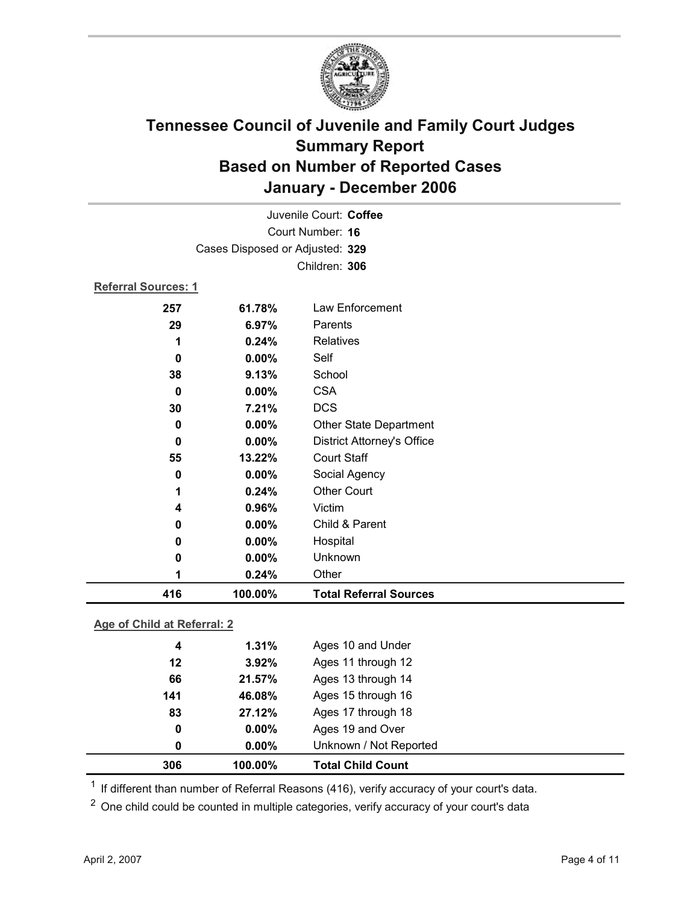

|                            | Juvenile Court: Coffee          |                                   |  |  |
|----------------------------|---------------------------------|-----------------------------------|--|--|
| Court Number: 16           |                                 |                                   |  |  |
|                            | Cases Disposed or Adjusted: 329 |                                   |  |  |
|                            |                                 | Children: 306                     |  |  |
| <b>Referral Sources: 1</b> |                                 |                                   |  |  |
| 257                        | 61.78%                          | Law Enforcement                   |  |  |
| 29                         | 6.97%                           | Parents                           |  |  |
| 1                          | 0.24%                           | <b>Relatives</b>                  |  |  |
| 0                          | 0.00%                           | Self                              |  |  |
| 38                         | 9.13%                           | School                            |  |  |
| $\bf{0}$                   | 0.00%                           | <b>CSA</b>                        |  |  |
| 30                         | 7.21%                           | <b>DCS</b>                        |  |  |
| 0                          | 0.00%                           | Other State Department            |  |  |
| 0                          | 0.00%                           | <b>District Attorney's Office</b> |  |  |
| 55                         | 13.22%                          | <b>Court Staff</b>                |  |  |
| 0                          | 0.00%                           | Social Agency                     |  |  |
| 1                          | 0.24%                           | <b>Other Court</b>                |  |  |
| 4                          | 0.96%                           | Victim                            |  |  |
| 0                          | 0.00%                           | Child & Parent                    |  |  |
| 0                          | $0.00\%$                        | Hospital                          |  |  |
| 0                          | 0.00%                           | Unknown                           |  |  |
| 1                          | 0.24%                           | Other                             |  |  |
| 416                        | 100.00%                         | <b>Total Referral Sources</b>     |  |  |
|                            |                                 |                                   |  |  |

### **Age of Child at Referral: 2**

| 306 | 100.00%  | <b>Total Child Count</b> |
|-----|----------|--------------------------|
| 0   | $0.00\%$ | Unknown / Not Reported   |
| 0   | $0.00\%$ | Ages 19 and Over         |
| 83  | 27.12%   | Ages 17 through 18       |
| 141 | 46.08%   | Ages 15 through 16       |
| 66  | 21.57%   | Ages 13 through 14       |
| 12  | 3.92%    | Ages 11 through 12       |
| 4   | 1.31%    | Ages 10 and Under        |
|     |          |                          |

 $1$  If different than number of Referral Reasons (416), verify accuracy of your court's data.

<sup>2</sup> One child could be counted in multiple categories, verify accuracy of your court's data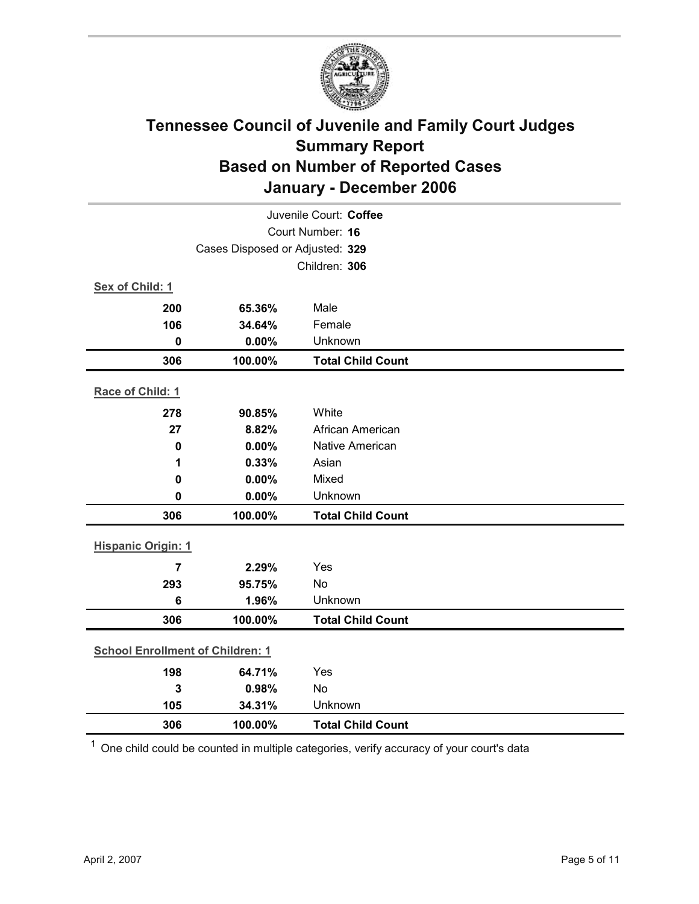

| Juvenile Court: Coffee                  |               |                          |  |  |  |
|-----------------------------------------|---------------|--------------------------|--|--|--|
| Court Number: 16                        |               |                          |  |  |  |
| Cases Disposed or Adjusted: 329         |               |                          |  |  |  |
|                                         | Children: 306 |                          |  |  |  |
| Sex of Child: 1                         |               |                          |  |  |  |
| 200                                     | 65.36%        | Male                     |  |  |  |
| 106                                     | 34.64%        | Female                   |  |  |  |
| $\mathbf 0$                             | 0.00%         | Unknown                  |  |  |  |
| 306                                     | 100.00%       | <b>Total Child Count</b> |  |  |  |
| Race of Child: 1                        |               |                          |  |  |  |
| 278                                     | 90.85%        | White                    |  |  |  |
| 27                                      | 8.82%         | African American         |  |  |  |
| 0                                       | 0.00%         | Native American          |  |  |  |
| 1                                       | 0.33%         | Asian                    |  |  |  |
| $\mathbf 0$                             | 0.00%         | Mixed                    |  |  |  |
| $\mathbf 0$                             | 0.00%         | Unknown                  |  |  |  |
| 306                                     | 100.00%       | <b>Total Child Count</b> |  |  |  |
| <b>Hispanic Origin: 1</b>               |               |                          |  |  |  |
| $\overline{7}$                          | 2.29%         | Yes                      |  |  |  |
| 293                                     | 95.75%        | No                       |  |  |  |
| 6                                       | 1.96%         | Unknown                  |  |  |  |
| 306                                     | 100.00%       | <b>Total Child Count</b> |  |  |  |
| <b>School Enrollment of Children: 1</b> |               |                          |  |  |  |
| 198                                     | 64.71%        | Yes                      |  |  |  |
| 3                                       | 0.98%         | No                       |  |  |  |
| 105                                     | 34.31%        | Unknown                  |  |  |  |
| 306                                     | 100.00%       | <b>Total Child Count</b> |  |  |  |

 $1$  One child could be counted in multiple categories, verify accuracy of your court's data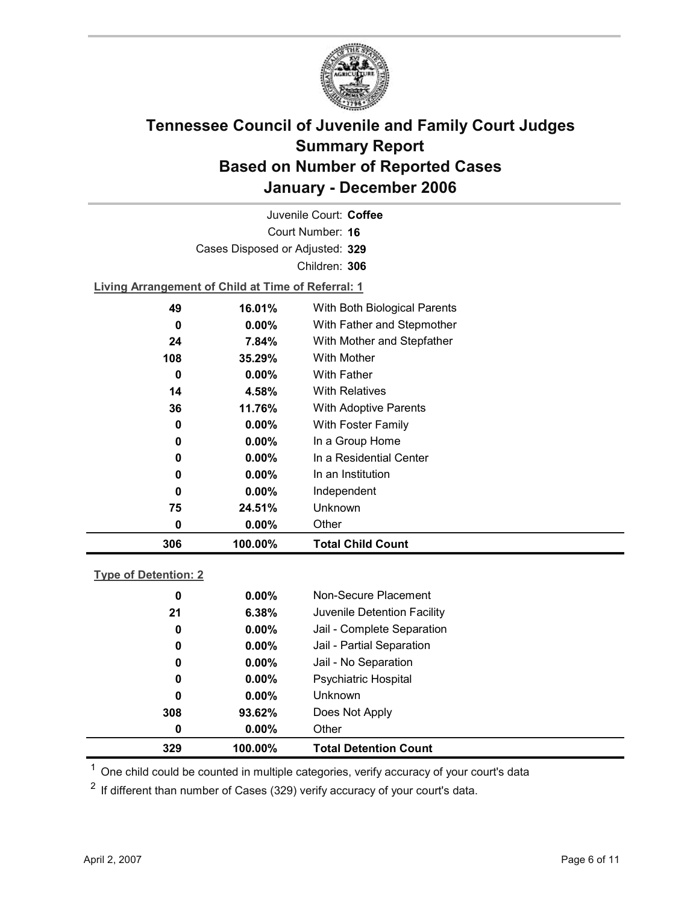

Court Number: **16** Juvenile Court: **Coffee** Cases Disposed or Adjusted: **329** Children: **306**

**Living Arrangement of Child at Time of Referral: 1**

| 306 | 100.00%  | <b>Total Child Count</b>     |
|-----|----------|------------------------------|
| 0   | $0.00\%$ | Other                        |
| 75  | 24.51%   | Unknown                      |
| 0   | $0.00\%$ | Independent                  |
| 0   | $0.00\%$ | In an Institution            |
| 0   | $0.00\%$ | In a Residential Center      |
| 0   | $0.00\%$ | In a Group Home              |
| 0   | $0.00\%$ | With Foster Family           |
| 36  | 11.76%   | With Adoptive Parents        |
| 14  | 4.58%    | <b>With Relatives</b>        |
| 0   | $0.00\%$ | <b>With Father</b>           |
| 108 | 35.29%   | With Mother                  |
| 24  | 7.84%    | With Mother and Stepfather   |
| 0   | $0.00\%$ | With Father and Stepmother   |
| 49  | 16.01%   | With Both Biological Parents |
|     |          |                              |

### **Type of Detention: 2**

| 329 | 100.00%  | <b>Total Detention Count</b> |  |
|-----|----------|------------------------------|--|
| 0   | $0.00\%$ | Other                        |  |
| 308 | 93.62%   | Does Not Apply               |  |
| 0   | $0.00\%$ | <b>Unknown</b>               |  |
| 0   | $0.00\%$ | <b>Psychiatric Hospital</b>  |  |
| 0   | $0.00\%$ | Jail - No Separation         |  |
| 0   | $0.00\%$ | Jail - Partial Separation    |  |
| 0   | $0.00\%$ | Jail - Complete Separation   |  |
| 21  | 6.38%    | Juvenile Detention Facility  |  |
| 0   | $0.00\%$ | Non-Secure Placement         |  |
|     |          |                              |  |

 $<sup>1</sup>$  One child could be counted in multiple categories, verify accuracy of your court's data</sup>

 $2$  If different than number of Cases (329) verify accuracy of your court's data.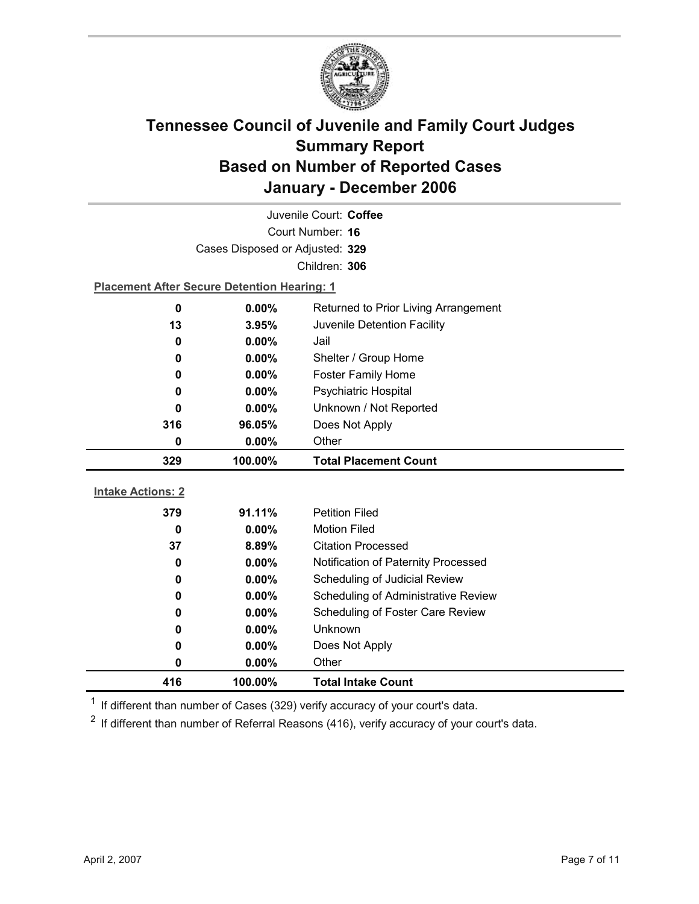

| Juvenile Court: Coffee                                                  |                                                    |                                     |  |  |
|-------------------------------------------------------------------------|----------------------------------------------------|-------------------------------------|--|--|
| Court Number: 16                                                        |                                                    |                                     |  |  |
|                                                                         | Cases Disposed or Adjusted: 329                    |                                     |  |  |
|                                                                         |                                                    | Children: 306                       |  |  |
|                                                                         | <b>Placement After Secure Detention Hearing: 1</b> |                                     |  |  |
| $\mathbf 0$                                                             | 0.00%<br>Returned to Prior Living Arrangement      |                                     |  |  |
| 13<br>Juvenile Detention Facility<br>3.95%                              |                                                    |                                     |  |  |
| 0                                                                       | 0.00%<br>Jail                                      |                                     |  |  |
| 0                                                                       | $0.00\%$                                           | Shelter / Group Home                |  |  |
| 0                                                                       | $0.00\%$                                           | <b>Foster Family Home</b>           |  |  |
| Psychiatric Hospital<br>0.00%<br>0                                      |                                                    |                                     |  |  |
| Unknown / Not Reported<br>0.00%<br>0<br>Does Not Apply<br>316<br>96.05% |                                                    |                                     |  |  |
|                                                                         |                                                    |                                     |  |  |
| 0                                                                       | Other<br>$0.00\%$                                  |                                     |  |  |
| 329<br>100.00%<br><b>Total Placement Count</b>                          |                                                    |                                     |  |  |
|                                                                         |                                                    |                                     |  |  |
|                                                                         |                                                    |                                     |  |  |
| <b>Intake Actions: 2</b>                                                |                                                    |                                     |  |  |
| 379                                                                     | 91.11%                                             | <b>Petition Filed</b>               |  |  |
| 0                                                                       | 0.00%                                              | <b>Motion Filed</b>                 |  |  |
| 37                                                                      | 8.89%                                              | <b>Citation Processed</b>           |  |  |
| 0                                                                       | $0.00\%$                                           | Notification of Paternity Processed |  |  |
| 0                                                                       | 0.00%                                              | Scheduling of Judicial Review       |  |  |
| 0                                                                       | 0.00%                                              | Scheduling of Administrative Review |  |  |
| 0                                                                       | $0.00\%$                                           | Scheduling of Foster Care Review    |  |  |
| 0                                                                       | 0.00%                                              | Unknown                             |  |  |
| 0                                                                       | 0.00%                                              | Does Not Apply                      |  |  |
| 0<br>416                                                                | $0.00\%$<br>100.00%                                | Other<br><b>Total Intake Count</b>  |  |  |

 $1$  If different than number of Cases (329) verify accuracy of your court's data.

 $2$  If different than number of Referral Reasons (416), verify accuracy of your court's data.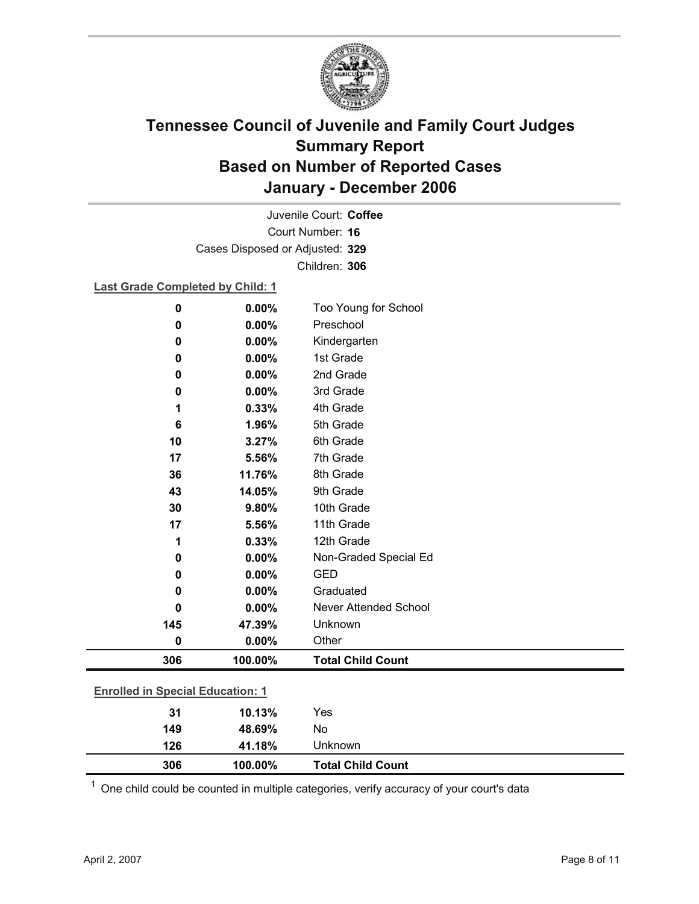

Court Number: **16** Juvenile Court: **Coffee** Cases Disposed or Adjusted: **329** Children: **306**

### **Last Grade Completed by Child: 1**

| $\pmb{0}$ | 0.00%                                   | Too Young for School         |  |  |  |
|-----------|-----------------------------------------|------------------------------|--|--|--|
| 0         | 0.00%                                   | Preschool                    |  |  |  |
| 0         | 0.00%                                   | Kindergarten                 |  |  |  |
| 0         | 0.00%                                   | 1st Grade                    |  |  |  |
| 0         | 0.00%                                   | 2nd Grade                    |  |  |  |
| 0         | 0.00%                                   | 3rd Grade                    |  |  |  |
| 1         | 0.33%                                   | 4th Grade                    |  |  |  |
| 6         | 1.96%                                   | 5th Grade                    |  |  |  |
| 10        | 3.27%                                   | 6th Grade                    |  |  |  |
| 17        | 5.56%                                   | 7th Grade                    |  |  |  |
| 36        | 11.76%                                  | 8th Grade                    |  |  |  |
| 43        | 14.05%                                  | 9th Grade                    |  |  |  |
| 30        | 9.80%                                   | 10th Grade                   |  |  |  |
| 17        | 5.56%                                   | 11th Grade                   |  |  |  |
| 1         | 0.33%                                   | 12th Grade                   |  |  |  |
| 0         | 0.00%                                   | Non-Graded Special Ed        |  |  |  |
| 0         | 0.00%                                   | <b>GED</b>                   |  |  |  |
| 0         | 0.00%                                   | Graduated                    |  |  |  |
| 0         | 0.00%                                   | <b>Never Attended School</b> |  |  |  |
| 145       | 47.39%                                  | Unknown                      |  |  |  |
| 0         | 0.00%                                   | Other                        |  |  |  |
| 306       | 100.00%                                 | <b>Total Child Count</b>     |  |  |  |
|           | <b>Enrolled in Special Education: 1</b> |                              |  |  |  |
| 31        | 10.13%                                  | Yes                          |  |  |  |
| 149       | 48.69%                                  | No                           |  |  |  |

 $1$  One child could be counted in multiple categories, verify accuracy of your court's data

**126 41.18%** Unknown

**306 100.00% Total Child Count**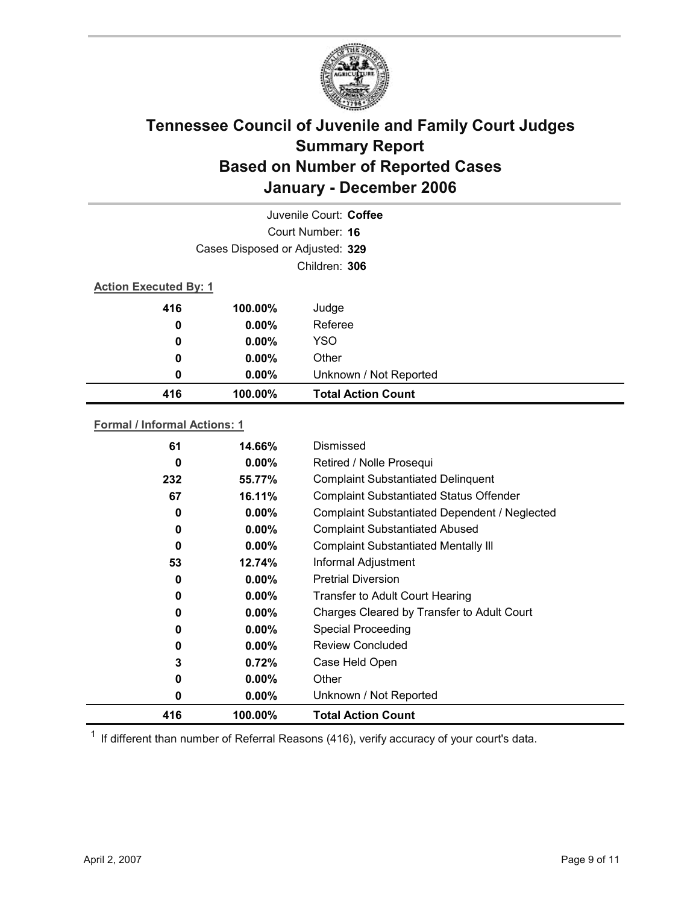

|                              | Juvenile Court: Coffee          |                           |  |  |
|------------------------------|---------------------------------|---------------------------|--|--|
|                              |                                 | Court Number: 16          |  |  |
|                              | Cases Disposed or Adjusted: 329 |                           |  |  |
|                              | Children: 306                   |                           |  |  |
| <b>Action Executed By: 1</b> |                                 |                           |  |  |
| 416                          | 100.00%                         | Judge                     |  |  |
| 0                            | $0.00\%$                        | Referee                   |  |  |
| 0                            | $0.00\%$                        | <b>YSO</b>                |  |  |
| 0                            | $0.00\%$                        | Other                     |  |  |
| 0                            | $0.00\%$                        | Unknown / Not Reported    |  |  |
| 416                          | 100.00%                         | <b>Total Action Count</b> |  |  |

### **Formal / Informal Actions: 1**

| 61  | 14.66%   | Dismissed                                      |
|-----|----------|------------------------------------------------|
| 0   | $0.00\%$ | Retired / Nolle Prosequi                       |
| 232 | 55.77%   | <b>Complaint Substantiated Delinquent</b>      |
| 67  | 16.11%   | <b>Complaint Substantiated Status Offender</b> |
| 0   | $0.00\%$ | Complaint Substantiated Dependent / Neglected  |
| 0   | $0.00\%$ | <b>Complaint Substantiated Abused</b>          |
| 0   | $0.00\%$ | <b>Complaint Substantiated Mentally III</b>    |
| 53  | 12.74%   | Informal Adjustment                            |
| 0   | $0.00\%$ | <b>Pretrial Diversion</b>                      |
| 0   | $0.00\%$ | <b>Transfer to Adult Court Hearing</b>         |
| 0   | $0.00\%$ | Charges Cleared by Transfer to Adult Court     |
| 0   | $0.00\%$ | <b>Special Proceeding</b>                      |
| 0   | $0.00\%$ | <b>Review Concluded</b>                        |
| 3   | 0.72%    | Case Held Open                                 |
| 0   | $0.00\%$ | Other                                          |
| 0   | $0.00\%$ | Unknown / Not Reported                         |
| 416 | 100.00%  | <b>Total Action Count</b>                      |

 $1$  If different than number of Referral Reasons (416), verify accuracy of your court's data.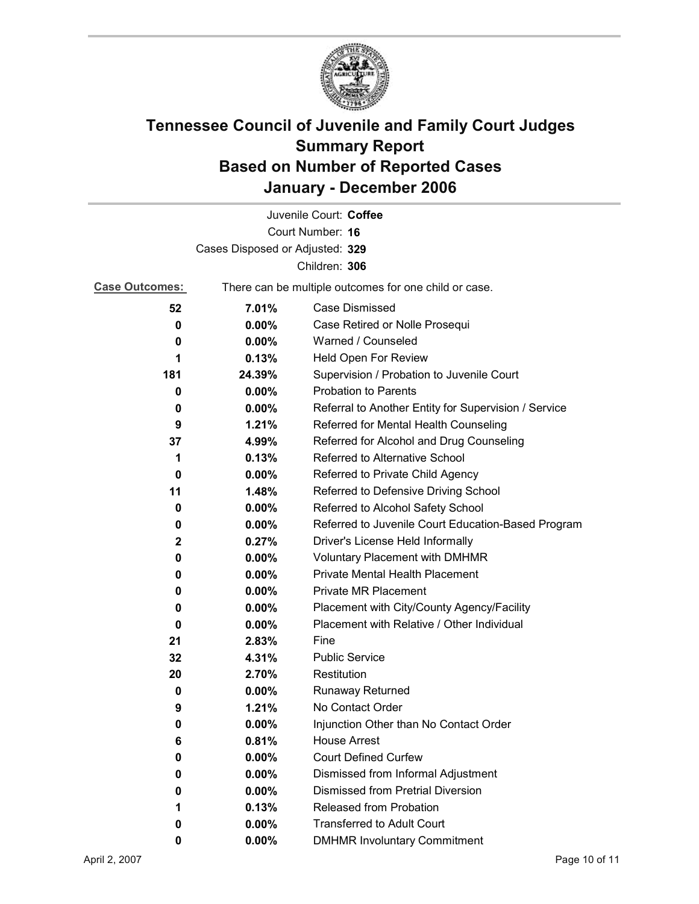

|                                 |                                                       | Juvenile Court: Coffee                               |  |
|---------------------------------|-------------------------------------------------------|------------------------------------------------------|--|
| Court Number: 16                |                                                       |                                                      |  |
| Cases Disposed or Adjusted: 329 |                                                       |                                                      |  |
|                                 |                                                       | Children: 306                                        |  |
| <b>Case Outcomes:</b>           | There can be multiple outcomes for one child or case. |                                                      |  |
| 52                              | 7.01%                                                 | Case Dismissed                                       |  |
| 0                               | $0.00\%$                                              | Case Retired or Nolle Prosequi                       |  |
| 0                               | 0.00%                                                 | Warned / Counseled                                   |  |
| 1                               | 0.13%                                                 | Held Open For Review                                 |  |
| 181                             | 24.39%                                                | Supervision / Probation to Juvenile Court            |  |
| 0                               | 0.00%                                                 | <b>Probation to Parents</b>                          |  |
| 0                               | $0.00\%$                                              | Referral to Another Entity for Supervision / Service |  |
| 9                               | 1.21%                                                 | Referred for Mental Health Counseling                |  |
| 37                              | 4.99%                                                 | Referred for Alcohol and Drug Counseling             |  |
| 1                               | 0.13%                                                 | Referred to Alternative School                       |  |
| 0                               | $0.00\%$                                              | Referred to Private Child Agency                     |  |
| 11                              | 1.48%                                                 | Referred to Defensive Driving School                 |  |
| 0                               | 0.00%                                                 | Referred to Alcohol Safety School                    |  |
| 0                               | $0.00\%$                                              | Referred to Juvenile Court Education-Based Program   |  |
| $\mathbf{2}$                    | 0.27%                                                 | Driver's License Held Informally                     |  |
| 0                               | $0.00\%$                                              | <b>Voluntary Placement with DMHMR</b>                |  |
| 0                               | $0.00\%$                                              | <b>Private Mental Health Placement</b>               |  |
| 0                               | $0.00\%$                                              | <b>Private MR Placement</b>                          |  |
| 0                               | $0.00\%$                                              | Placement with City/County Agency/Facility           |  |
| 0                               | 0.00%                                                 | Placement with Relative / Other Individual           |  |
| 21                              | 2.83%                                                 | Fine                                                 |  |
| 32                              | 4.31%                                                 | <b>Public Service</b>                                |  |
| 20                              | 2.70%                                                 | Restitution                                          |  |
| 0                               | $0.00\%$                                              | Runaway Returned                                     |  |
| 9                               | 1.21%                                                 | No Contact Order                                     |  |
| 0                               | $0.00\%$                                              | Injunction Other than No Contact Order               |  |
| 6                               | 0.81%                                                 | <b>House Arrest</b>                                  |  |
| 0                               | $0.00\%$                                              | <b>Court Defined Curfew</b>                          |  |
| 0                               | 0.00%                                                 | Dismissed from Informal Adjustment                   |  |
| 0                               | $0.00\%$                                              | <b>Dismissed from Pretrial Diversion</b>             |  |
| 1                               | 0.13%                                                 | <b>Released from Probation</b>                       |  |
| 0                               | $0.00\%$                                              | <b>Transferred to Adult Court</b>                    |  |
| 0                               | $0.00\%$                                              | <b>DMHMR Involuntary Commitment</b>                  |  |